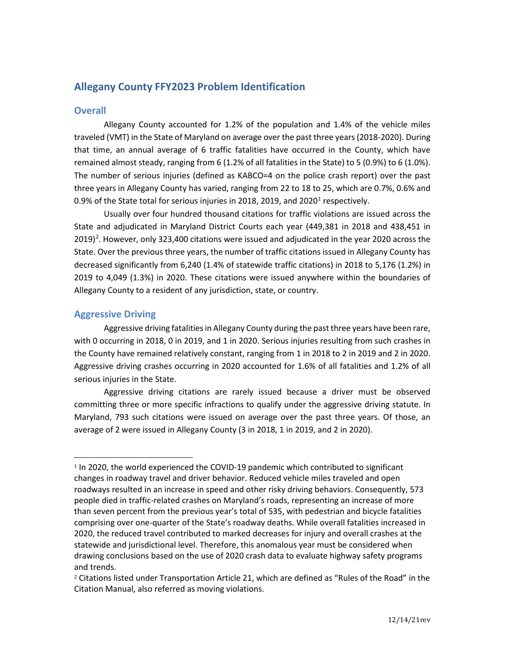# **Allegany County FFY2023 Problem Identification**

## **Overall**

Allegany County accounted for 1.2% of the population and 1.4% of the vehicle miles traveled (VMT) in the State of Maryland on average over the past three years (2018-2020). During that time, an annual average of 6 traffic fatalities have occurred in the County, which have remained almost steady, ranging from 6 (1.2% of all fatalities in the State) to 5 (0.9%) to 6 (1.0%). The number of serious injuries (defined as KABCO=4 on the police crash report) over the past three years in Allegany County has varied, ranging from 22 to 18 to 25, which are 0.7%, 0.6% and 0.9% of the State total for serious injuries in 20[1](#page-0-0)8, 2019, and 2020<sup>1</sup> respectively.

Usually over four hundred thousand citations for traffic violations are issued across the State and adjudicated in Maryland District Courts each year (449,381 in 2018 and 438,451 in  $2019)$  $2019)$ <sup>2</sup>. However, only 323,400 citations were issued and adjudicated in the year 2020 across the State. Over the previous three years, the number of traffic citations issued in Allegany County has decreased significantly from 6,240 (1.4% of statewide traffic citations) in 2018 to 5,176 (1.2%) in 2019 to 4,049 (1.3%) in 2020. These citations were issued anywhere within the boundaries of Allegany County to a resident of any jurisdiction, state, or country.

## **Aggressive Driving**

Aggressive driving fatalities in Allegany County during the past three years have been rare, with 0 occurring in 2018, 0 in 2019, and 1 in 2020. Serious injuries resulting from such crashes in the County have remained relatively constant, ranging from 1 in 2018 to 2 in 2019 and 2 in 2020. Aggressive driving crashes occurring in 2020 accounted for 1.6% of all fatalities and 1.2% of all serious injuries in the State.

Aggressive driving citations are rarely issued because a driver must be observed committing three or more specific infractions to qualify under the aggressive driving statute. In Maryland, 793 such citations were issued on average over the past three years. Of those, an average of 2 were issued in Allegany County (3 in 2018, 1 in 2019, and 2 in 2020).

<span id="page-0-0"></span><sup>&</sup>lt;sup>1</sup> In 2020, the world experienced the COVID-19 pandemic which contributed to significant changes in roadway travel and driver behavior. Reduced vehicle miles traveled and open roadways resulted in an increase in speed and other risky driving behaviors. Consequently, 573 people died in traffic-related crashes on Maryland's roads, representing an increase of more than seven percent from the previous year's total of 535, with pedestrian and bicycle fatalities comprising over one-quarter of the State's roadway deaths. While overall fatalities increased in 2020, the reduced travel contributed to marked decreases for injury and overall crashes at the statewide and jurisdictional level. Therefore, this anomalous year must be considered when drawing conclusions based on the use of 2020 crash data to evaluate highway safety programs and trends.

<span id="page-0-1"></span><sup>2</sup> Citations listed under Transportation Article 21, which are defined as "Rules of the Road" in the Citation Manual, also referred as moving violations.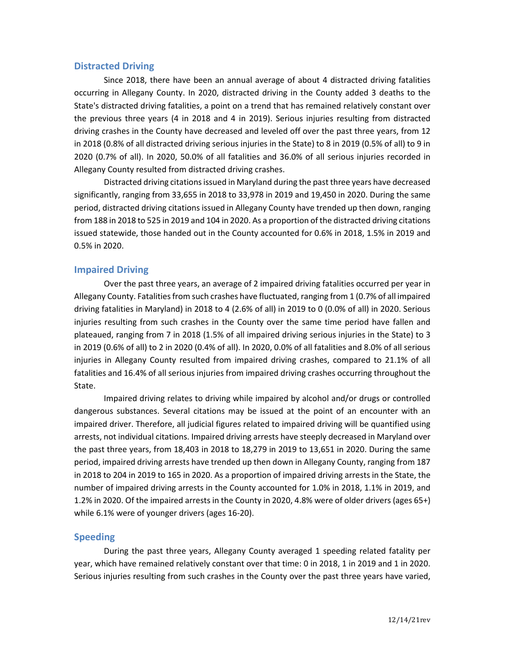## **Distracted Driving**

Since 2018, there have been an annual average of about 4 distracted driving fatalities occurring in Allegany County. In 2020, distracted driving in the County added 3 deaths to the State's distracted driving fatalities, a point on a trend that has remained relatively constant over the previous three years (4 in 2018 and 4 in 2019). Serious injuries resulting from distracted driving crashes in the County have decreased and leveled off over the past three years, from 12 in 2018 (0.8% of all distracted driving serious injuries in the State) to 8 in 2019 (0.5% of all) to 9 in 2020 (0.7% of all). In 2020, 50.0% of all fatalities and 36.0% of all serious injuries recorded in Allegany County resulted from distracted driving crashes.

Distracted driving citations issued in Maryland during the past three years have decreased significantly, ranging from 33,655 in 2018 to 33,978 in 2019 and 19,450 in 2020. During the same period, distracted driving citations issued in Allegany County have trended up then down, ranging from 188 in 2018 to 525 in 2019 and 104 in 2020. As a proportion of the distracted driving citations issued statewide, those handed out in the County accounted for 0.6% in 2018, 1.5% in 2019 and 0.5% in 2020.

## **Impaired Driving**

Over the past three years, an average of 2 impaired driving fatalities occurred per year in Allegany County. Fatalities from such crashes have fluctuated, ranging from 1 (0.7% of all impaired driving fatalities in Maryland) in 2018 to 4 (2.6% of all) in 2019 to 0 (0.0% of all) in 2020. Serious injuries resulting from such crashes in the County over the same time period have fallen and plateaued, ranging from 7 in 2018 (1.5% of all impaired driving serious injuries in the State) to 3 in 2019 (0.6% of all) to 2 in 2020 (0.4% of all). In 2020, 0.0% of all fatalities and 8.0% of all serious injuries in Allegany County resulted from impaired driving crashes, compared to 21.1% of all fatalities and 16.4% of all serious injuries from impaired driving crashes occurring throughout the State.

Impaired driving relates to driving while impaired by alcohol and/or drugs or controlled dangerous substances. Several citations may be issued at the point of an encounter with an impaired driver. Therefore, all judicial figures related to impaired driving will be quantified using arrests, not individual citations. Impaired driving arrests have steeply decreased in Maryland over the past three years, from 18,403 in 2018 to 18,279 in 2019 to 13,651 in 2020. During the same period, impaired driving arrests have trended up then down in Allegany County, ranging from 187 in 2018 to 204 in 2019 to 165 in 2020. As a proportion of impaired driving arrests in the State, the number of impaired driving arrests in the County accounted for 1.0% in 2018, 1.1% in 2019, and 1.2% in 2020. Of the impaired arrests in the County in 2020, 4.8% were of older drivers (ages 65+) while 6.1% were of younger drivers (ages 16-20).

## **Speeding**

During the past three years, Allegany County averaged 1 speeding related fatality per year, which have remained relatively constant over that time: 0 in 2018, 1 in 2019 and 1 in 2020. Serious injuries resulting from such crashes in the County over the past three years have varied,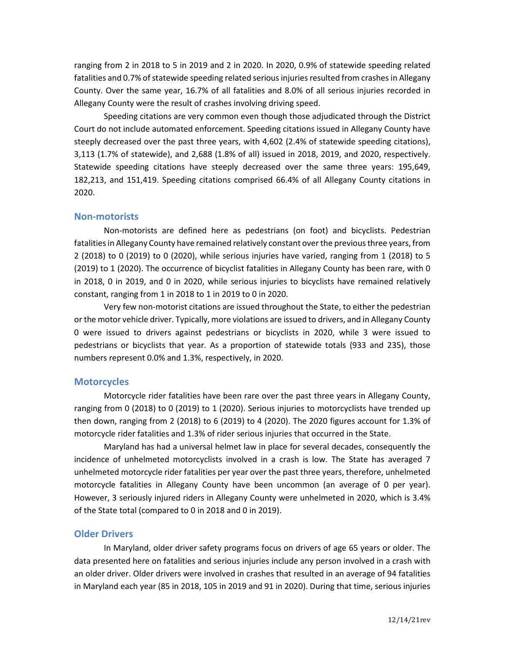ranging from 2 in 2018 to 5 in 2019 and 2 in 2020. In 2020, 0.9% of statewide speeding related fatalities and 0.7% of statewide speeding related serious injuries resulted from crashes in Allegany County. Over the same year, 16.7% of all fatalities and 8.0% of all serious injuries recorded in Allegany County were the result of crashes involving driving speed.

Speeding citations are very common even though those adjudicated through the District Court do not include automated enforcement. Speeding citations issued in Allegany County have steeply decreased over the past three years, with 4,602 (2.4% of statewide speeding citations), 3,113 (1.7% of statewide), and 2,688 (1.8% of all) issued in 2018, 2019, and 2020, respectively. Statewide speeding citations have steeply decreased over the same three years: 195,649, 182,213, and 151,419. Speeding citations comprised 66.4% of all Allegany County citations in 2020.

#### **Non-motorists**

Non-motorists are defined here as pedestrians (on foot) and bicyclists. Pedestrian fatalities in Allegany County have remained relatively constant over the previous three years, from 2 (2018) to 0 (2019) to 0 (2020), while serious injuries have varied, ranging from 1 (2018) to 5 (2019) to 1 (2020). The occurrence of bicyclist fatalities in Allegany County has been rare, with 0 in 2018, 0 in 2019, and 0 in 2020, while serious injuries to bicyclists have remained relatively constant, ranging from 1 in 2018 to 1 in 2019 to 0 in 2020.

Very few non-motorist citations are issued throughout the State, to either the pedestrian or the motor vehicle driver. Typically, more violations are issued to drivers, and in Allegany County 0 were issued to drivers against pedestrians or bicyclists in 2020, while 3 were issued to pedestrians or bicyclists that year. As a proportion of statewide totals (933 and 235), those numbers represent 0.0% and 1.3%, respectively, in 2020.

### **Motorcycles**

Motorcycle rider fatalities have been rare over the past three years in Allegany County, ranging from 0 (2018) to 0 (2019) to 1 (2020). Serious injuries to motorcyclists have trended up then down, ranging from 2 (2018) to 6 (2019) to 4 (2020). The 2020 figures account for 1.3% of motorcycle rider fatalities and 1.3% of rider serious injuries that occurred in the State.

Maryland has had a universal helmet law in place for several decades, consequently the incidence of unhelmeted motorcyclists involved in a crash is low. The State has averaged 7 unhelmeted motorcycle rider fatalities per year over the past three years, therefore, unhelmeted motorcycle fatalities in Allegany County have been uncommon (an average of 0 per year). However, 3 seriously injured riders in Allegany County were unhelmeted in 2020, which is 3.4% of the State total (compared to 0 in 2018 and 0 in 2019).

#### **Older Drivers**

In Maryland, older driver safety programs focus on drivers of age 65 years or older. The data presented here on fatalities and serious injuries include any person involved in a crash with an older driver. Older drivers were involved in crashes that resulted in an average of 94 fatalities in Maryland each year (85 in 2018, 105 in 2019 and 91 in 2020). During that time, serious injuries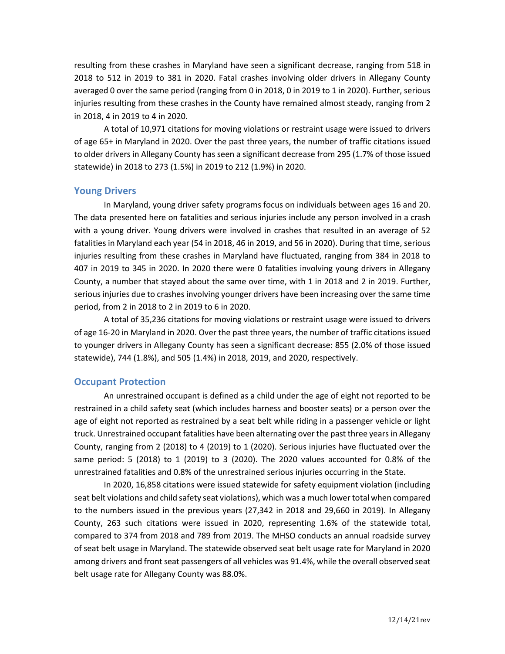resulting from these crashes in Maryland have seen a significant decrease, ranging from 518 in 2018 to 512 in 2019 to 381 in 2020. Fatal crashes involving older drivers in Allegany County averaged 0 over the same period (ranging from 0 in 2018, 0 in 2019 to 1 in 2020). Further, serious injuries resulting from these crashes in the County have remained almost steady, ranging from 2 in 2018, 4 in 2019 to 4 in 2020.

A total of 10,971 citations for moving violations or restraint usage were issued to drivers of age 65+ in Maryland in 2020. Over the past three years, the number of traffic citations issued to older drivers in Allegany County has seen a significant decrease from 295 (1.7% of those issued statewide) in 2018 to 273 (1.5%) in 2019 to 212 (1.9%) in 2020.

## **Young Drivers**

In Maryland, young driver safety programs focus on individuals between ages 16 and 20. The data presented here on fatalities and serious injuries include any person involved in a crash with a young driver. Young drivers were involved in crashes that resulted in an average of 52 fatalities in Maryland each year (54 in 2018, 46 in 2019, and 56 in 2020). During that time, serious injuries resulting from these crashes in Maryland have fluctuated, ranging from 384 in 2018 to 407 in 2019 to 345 in 2020. In 2020 there were 0 fatalities involving young drivers in Allegany County, a number that stayed about the same over time, with 1 in 2018 and 2 in 2019. Further, serious injuries due to crashes involving younger drivers have been increasing over the same time period, from 2 in 2018 to 2 in 2019 to 6 in 2020.

A total of 35,236 citations for moving violations or restraint usage were issued to drivers of age 16-20 in Maryland in 2020. Over the past three years, the number of traffic citations issued to younger drivers in Allegany County has seen a significant decrease: 855 (2.0% of those issued statewide), 744 (1.8%), and 505 (1.4%) in 2018, 2019, and 2020, respectively.

### **Occupant Protection**

An unrestrained occupant is defined as a child under the age of eight not reported to be restrained in a child safety seat (which includes harness and booster seats) or a person over the age of eight not reported as restrained by a seat belt while riding in a passenger vehicle or light truck. Unrestrained occupant fatalities have been alternating over the past three years in Allegany County, ranging from 2 (2018) to 4 (2019) to 1 (2020). Serious injuries have fluctuated over the same period: 5 (2018) to 1 (2019) to 3 (2020). The 2020 values accounted for 0.8% of the unrestrained fatalities and 0.8% of the unrestrained serious injuries occurring in the State.

In 2020, 16,858 citations were issued statewide for safety equipment violation (including seat belt violations and child safety seat violations), which was a much lower total when compared to the numbers issued in the previous years (27,342 in 2018 and 29,660 in 2019). In Allegany County, 263 such citations were issued in 2020, representing 1.6% of the statewide total, compared to 374 from 2018 and 789 from 2019. The MHSO conducts an annual roadside survey of seat belt usage in Maryland. The statewide observed seat belt usage rate for Maryland in 2020 among drivers and front seat passengers of all vehicles was 91.4%, while the overall observed seat belt usage rate for Allegany County was 88.0%.